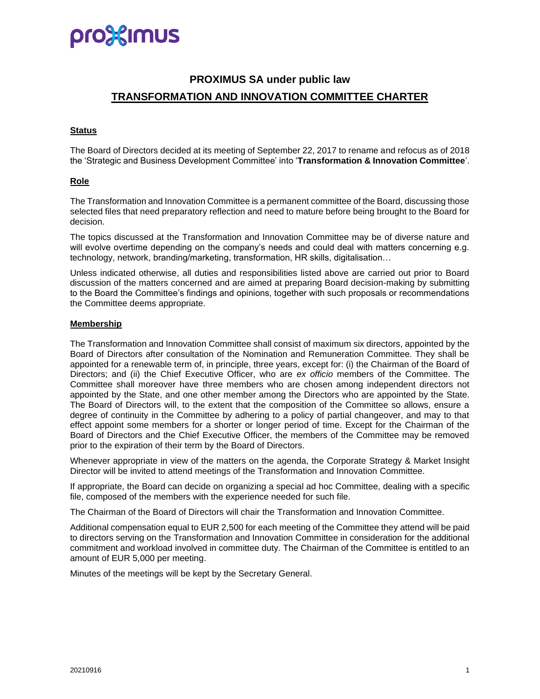

# **PROXIMUS SA under public law TRANSFORMATION AND INNOVATION COMMITTEE CHARTER**

#### **Status**

The Board of Directors decided at its meeting of September 22, 2017 to rename and refocus as of 2018 the 'Strategic and Business Development Committee' into '**Transformation & Innovation Committee**'.

#### **Role**

The Transformation and Innovation Committee is a permanent committee of the Board, discussing those selected files that need preparatory reflection and need to mature before being brought to the Board for decision.

The topics discussed at the Transformation and Innovation Committee may be of diverse nature and will evolve overtime depending on the company's needs and could deal with matters concerning e.g. technology, network, branding/marketing, transformation, HR skills, digitalisation…

Unless indicated otherwise, all duties and responsibilities listed above are carried out prior to Board discussion of the matters concerned and are aimed at preparing Board decision-making by submitting to the Board the Committee's findings and opinions, together with such proposals or recommendations the Committee deems appropriate.

#### **Membership**

The Transformation and Innovation Committee shall consist of maximum six directors, appointed by the Board of Directors after consultation of the Nomination and Remuneration Committee. They shall be appointed for a renewable term of, in principle, three years, except for: (i) the Chairman of the Board of Directors; and (ii) the Chief Executive Officer, who are *ex officio* members of the Committee. The Committee shall moreover have three members who are chosen among independent directors not appointed by the State, and one other member among the Directors who are appointed by the State. The Board of Directors will, to the extent that the composition of the Committee so allows, ensure a degree of continuity in the Committee by adhering to a policy of partial changeover, and may to that effect appoint some members for a shorter or longer period of time. Except for the Chairman of the Board of Directors and the Chief Executive Officer, the members of the Committee may be removed prior to the expiration of their term by the Board of Directors.

Whenever appropriate in view of the matters on the agenda, the Corporate Strategy & Market Insight Director will be invited to attend meetings of the Transformation and Innovation Committee.

If appropriate, the Board can decide on organizing a special ad hoc Committee, dealing with a specific file, composed of the members with the experience needed for such file.

The Chairman of the Board of Directors will chair the Transformation and Innovation Committee.

Additional compensation equal to EUR 2,500 for each meeting of the Committee they attend will be paid to directors serving on the Transformation and Innovation Committee in consideration for the additional commitment and workload involved in committee duty. The Chairman of the Committee is entitled to an amount of EUR 5,000 per meeting.

Minutes of the meetings will be kept by the Secretary General.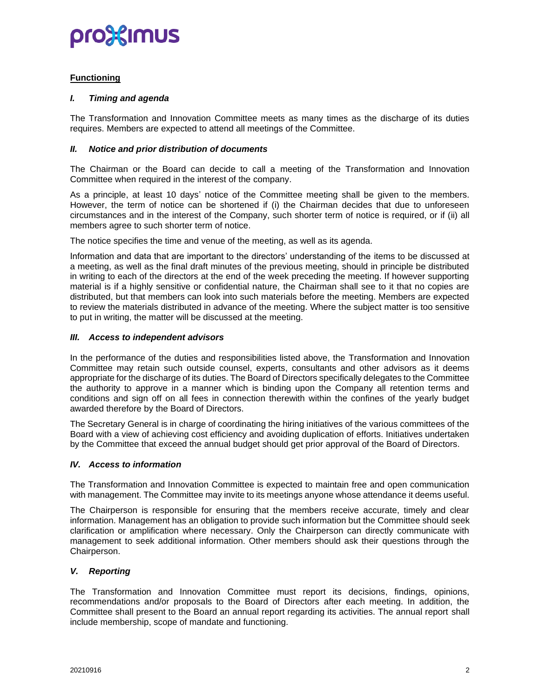# pro%imus

# **Functioning**

### *I. Timing and agenda*

The Transformation and Innovation Committee meets as many times as the discharge of its duties requires. Members are expected to attend all meetings of the Committee.

### *II. Notice and prior distribution of documents*

The Chairman or the Board can decide to call a meeting of the Transformation and Innovation Committee when required in the interest of the company.

As a principle, at least 10 days' notice of the Committee meeting shall be given to the members. However, the term of notice can be shortened if (i) the Chairman decides that due to unforeseen circumstances and in the interest of the Company, such shorter term of notice is required, or if (ii) all members agree to such shorter term of notice.

The notice specifies the time and venue of the meeting, as well as its agenda.

Information and data that are important to the directors' understanding of the items to be discussed at a meeting, as well as the final draft minutes of the previous meeting, should in principle be distributed in writing to each of the directors at the end of the week preceding the meeting. If however supporting material is if a highly sensitive or confidential nature, the Chairman shall see to it that no copies are distributed, but that members can look into such materials before the meeting. Members are expected to review the materials distributed in advance of the meeting. Where the subject matter is too sensitive to put in writing, the matter will be discussed at the meeting.

### *III. Access to independent advisors*

In the performance of the duties and responsibilities listed above, the Transformation and Innovation Committee may retain such outside counsel, experts, consultants and other advisors as it deems appropriate for the discharge of its duties. The Board of Directors specifically delegates to the Committee the authority to approve in a manner which is binding upon the Company all retention terms and conditions and sign off on all fees in connection therewith within the confines of the yearly budget awarded therefore by the Board of Directors.

The Secretary General is in charge of coordinating the hiring initiatives of the various committees of the Board with a view of achieving cost efficiency and avoiding duplication of efforts. Initiatives undertaken by the Committee that exceed the annual budget should get prior approval of the Board of Directors.

## *IV. Access to information*

The Transformation and Innovation Committee is expected to maintain free and open communication with management. The Committee may invite to its meetings anyone whose attendance it deems useful.

The Chairperson is responsible for ensuring that the members receive accurate, timely and clear information. Management has an obligation to provide such information but the Committee should seek clarification or amplification where necessary. Only the Chairperson can directly communicate with management to seek additional information. Other members should ask their questions through the Chairperson.

#### *V. Reporting*

The Transformation and Innovation Committee must report its decisions, findings, opinions, recommendations and/or proposals to the Board of Directors after each meeting. In addition, the Committee shall present to the Board an annual report regarding its activities. The annual report shall include membership, scope of mandate and functioning.